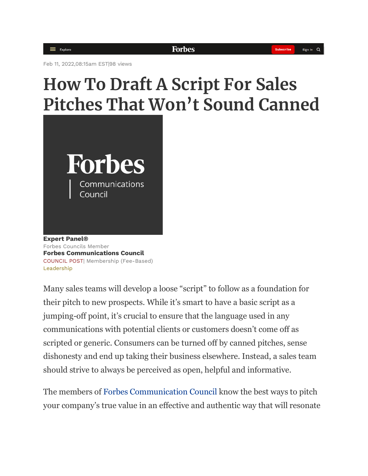Feb 11, 2022,08:15am EST|98 views

# **How To Draft A Script For Sales Pitches That Won't Sound Canned**



**[Expert Panel®](https://www.forbes.com/sites/forbescommunicationscouncil/people/expertpanel/)** Forbes Councils Member **[Forbes Communications Council](https://www.forbes.com/sites/forbescommunicationscouncil/)** COUNCIL POST| Membership (Fee-Based) [Leadership](https://www.forbes.com/leadership)

Many sales teams will develop a loose "script" to follow as a foundation for their pitch to new prospects. While it's smart to have a basic script as a jumping-off point, it's crucial to ensure that the language used in any communications with potential clients or customers doesn't come off as scripted or generic. Consumers can be turned off by canned pitches, sense dishonesty and end up taking their business elsewhere. Instead, a sales team should strive to always be perceived as open, helpful and informative.

The members of [Forbes Communication Council](http://councils.forbes.com/forbescommunicationscouncil) know the best ways to pitch your company's true value in an effective and authentic way that will resonate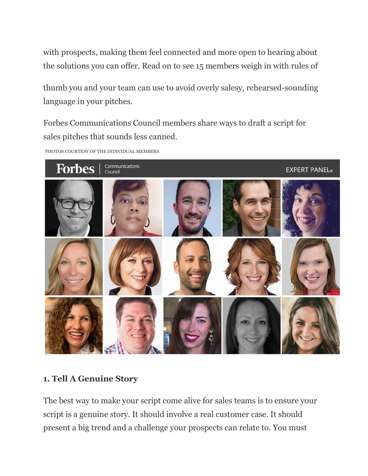with prospects, making them feel connected and more open to hearing about the solutions you can offer. Read on to see 15 members weigh in with rules of

thumb you and your team can use to avoid overly salesy, rehearsed-sounding language in your pitches.

Forbes Communications Council members share ways to draft a script for sales pitches that sounds less canned.

PHOTOS COURTESY OF THE INDIVIDUAL MEMBERS.



#### **1. Tell A Genuine Story**

The best way to make your script come alive for sales teams is to ensure your script is a genuine story. It should involve a real customer case. It should present a big trend and a challenge your prospects can relate to. You must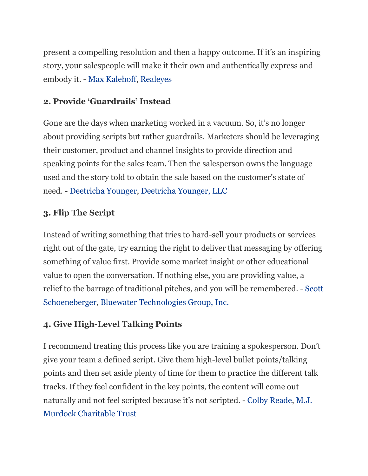present a compelling resolution and then a happy outcome. If it's an inspiring story, your salespeople will make it their own and authentically express and embody it. - [Max Kalehoff,](https://profiles.forbes.com/u/0b1dd485-b956-4488-a4f2-ea008b41dd9a) [Realeyes](http://www.realeyesit.com/)

## **2. Provide 'Guardrails' Instead**

Gone are the days when marketing worked in a vacuum. So, it's no longer about providing scripts but rather guardrails. Marketers should be leveraging their customer, product and channel insights to provide direction and speaking points for the sales team. Then the salesperson owns the language used and the story told to obtain the sale based on the customer's state of need. - [Deetricha Younger,](https://profiles.forbes.com/u/09951608-82e7-40e5-ba4e-8604f4545988) [Deetricha Younger, LLC](https://deetrichayounger.com/)

# **3. Flip The Script**

Instead of writing something that tries to hard-sell your products or services right out of the gate, try earning the right to deliver that messaging by offering something of value first. Provide some market insight or other educational value to open the conversation. If nothing else, you are providing value, a relief to the barrage of traditional pitches, and you will be remembered. - [Scott](https://profiles.forbes.com/u/92cec773-5d7f-415f-8c14-acbea5910b82)  [Schoeneberger,](https://profiles.forbes.com/u/92cec773-5d7f-415f-8c14-acbea5910b82) [Bluewater Technologies Group, Inc.](http://www.bluewatertech.com/)

# **4. Give High-Level Talking Points**

I recommend treating this process like you are training a spokesperson. Don't give your team a defined script. Give them high-level bullet points/talking points and then set aside plenty of time for them to practice the different talk tracks. If they feel confident in the key points, the content will come out naturally and not feel scripted because it's not scripted. - [Colby Reade,](https://profiles.forbes.com/u/2d0f6030-d854-4793-bd0d-f8412078f5a1) [M.J.](http://www.murdocktrust.org/)  [Murdock Charitable Trust](http://www.murdocktrust.org/)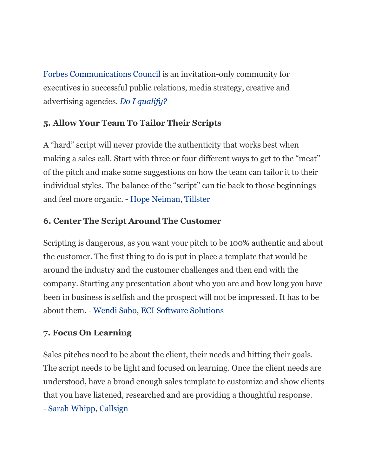[Forbes Communications Council](https://councils.forbes.com/forbescommunicationscouncil?utm_source=forbes.com&utm_medium=referral&utm_campaign=forbes-links&utm_content=in-article-ad-links) is an invitation-only community for executives in successful public relations, media strategy, creative and advertising agencies. *[Do I qualify?](https://councils.forbes.com/qualify?utm_source=forbes.com&utm_medium=referral&utm_campaign=forbes-links&utm_term=fc2c&utm_content=in-article-ad-links)*

# **5. Allow Your Team To Tailor Their Scripts**

A "hard" script will never provide the authenticity that works best when making a sales call. Start with three or four different ways to get to the "meat" of the pitch and make some suggestions on how the team can tailor it to their individual styles. The balance of the "script" can tie back to those beginnings and feel more organic. - [Hope Neiman,](https://profiles.forbes.com/u/7a955cf0-0b66-45e9-89cd-0edb444c9ce6) [Tillster](https://www.tillster.com/)

# **6. Center The Script Around The Customer**

Scripting is dangerous, as you want your pitch to be 100% authentic and about the customer. The first thing to do is put in place a template that would be around the industry and the customer challenges and then end with the company. Starting any presentation about who you are and how long you have been in business is selfish and the prospect will not be impressed. It has to be about them. - [Wendi Sabo,](https://profiles.forbes.com/u/97dce86b-8c43-4b34-82c8-286e131077d7) [ECI Software Solutions](http://www.ecisolutions.com/)

## **7. Focus On Learning**

Sales pitches need to be about the client, their needs and hitting their goals. The script needs to be light and focused on learning. Once the client needs are understood, have a broad enough sales template to customize and show clients that you have listened, researched and are providing a thoughtful response.

- [Sarah Whipp,](https://profiles.forbes.com/u/d12c96cd-16bf-4139-a3b8-a18228c006dd) [Callsign](http://www.callsign.com/)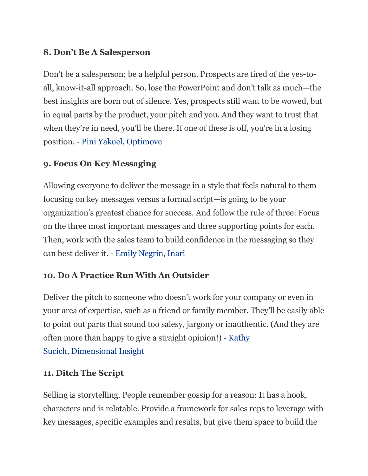## **8. Don't Be A Salesperson**

Don't be a salesperson; be a helpful person. Prospects are tired of the yes-toall, know-it-all approach. So, lose the PowerPoint and don't talk as much—the best insights are born out of silence. Yes, prospects still want to be wowed, but in equal parts by the product, your pitch and you. And they want to trust that when they're in need, you'll be there. If one of these is off, you're in a losing position. - [Pini Yakuel,](https://profiles.forbes.com/u/a9889e28-45c1-4694-be0b-b6df52cf6375) [Optimove](http://www.optimove.com/)

## **9. Focus On Key Messaging**

Allowing everyone to deliver the message in a style that feels natural to them focusing on key messages versus a formal script—is going to be your organization's greatest chance for success. And follow the rule of three: Focus on the three most important messages and three supporting points for each. Then, work with the sales team to build confidence in the messaging so they can best deliver it. - [Emily Negrin,](https://profiles.forbes.com/u/305a563f-8f82-42a2-94d3-00dde5dfbfcf) [Inari](http://www.inari.com/)

# **10. Do A Practice Run With An Outsider**

Deliver the pitch to someone who doesn't work for your company or even in your area of expertise, such as a friend or family member. They'll be easily able to point out parts that sound too salesy, jargony or inauthentic. (And they are often more than happy to give a straight opinion!) - [Kathy](https://profiles.forbes.com/u/cd85d600-3343-4cef-80c6-47c403e93e4f)  [Sucich,](https://profiles.forbes.com/u/cd85d600-3343-4cef-80c6-47c403e93e4f) [Dimensional Insight](http://www.dimins.com/)

## **11. Ditch The Script**

Selling is storytelling. People remember gossip for a reason: It has a hook, characters and is relatable. Provide a framework for sales reps to leverage with key messages, specific examples and results, but give them space to build the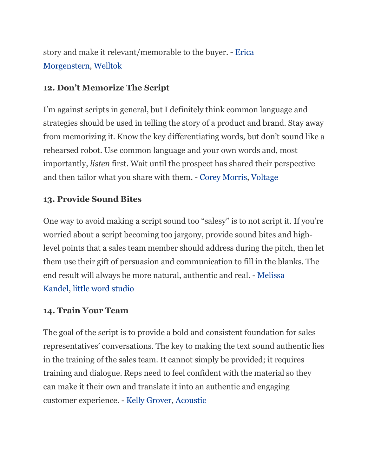story and make it relevant/memorable to the buyer. - [Erica](https://profiles.forbes.com/u/a4b3bf73-bb44-4f75-bca5-2556e71b60ec)  [Morgenstern,](https://profiles.forbes.com/u/a4b3bf73-bb44-4f75-bca5-2556e71b60ec) [Welltok](http://www.welltok.com/)

## **12. Don't Memorize The Script**

I'm against scripts in general, but I definitely think common language and strategies should be used in telling the story of a product and brand. Stay away from memorizing it. Know the key differentiating words, but don't sound like a rehearsed robot. Use common language and your own words and, most importantly, *listen* first. Wait until the prospect has shared their perspective and then tailor what you share with them. - [Corey Morris,](https://profiles.forbes.com/u/7b9a16e0-7aec-42e9-9a4c-92c74edab381) [Voltage](https://voltagekc.com/)

# **13. Provide Sound Bites**

One way to avoid making a script sound too "salesy" is to not script it. If you're worried about a script becoming too jargony, provide sound bites and highlevel points that a sales team member should address during the pitch, then let them use their gift of persuasion and communication to fill in the blanks. The end result will always be more natural, authentic and real. - [Melissa](https://profiles.forbes.com/u/b41bd2bd-907d-4dfc-9f7b-808671f1f8d0)  [Kandel,](https://profiles.forbes.com/u/b41bd2bd-907d-4dfc-9f7b-808671f1f8d0) [little word studio](https://littlewordstudio.com/)

## **14. Train Your Team**

The goal of the script is to provide a bold and consistent foundation for sales representatives' conversations. The key to making the text sound authentic lies in the training of the sales team. It cannot simply be provided; it requires training and dialogue. Reps need to feel confident with the material so they can make it their own and translate it into an authentic and engaging customer experience. - [Kelly Grover,](https://profiles.forbes.com/u/aa1bd595-3400-4d0b-aad1-34e1e8276533) [Acoustic](https://www.acoustic.com/)